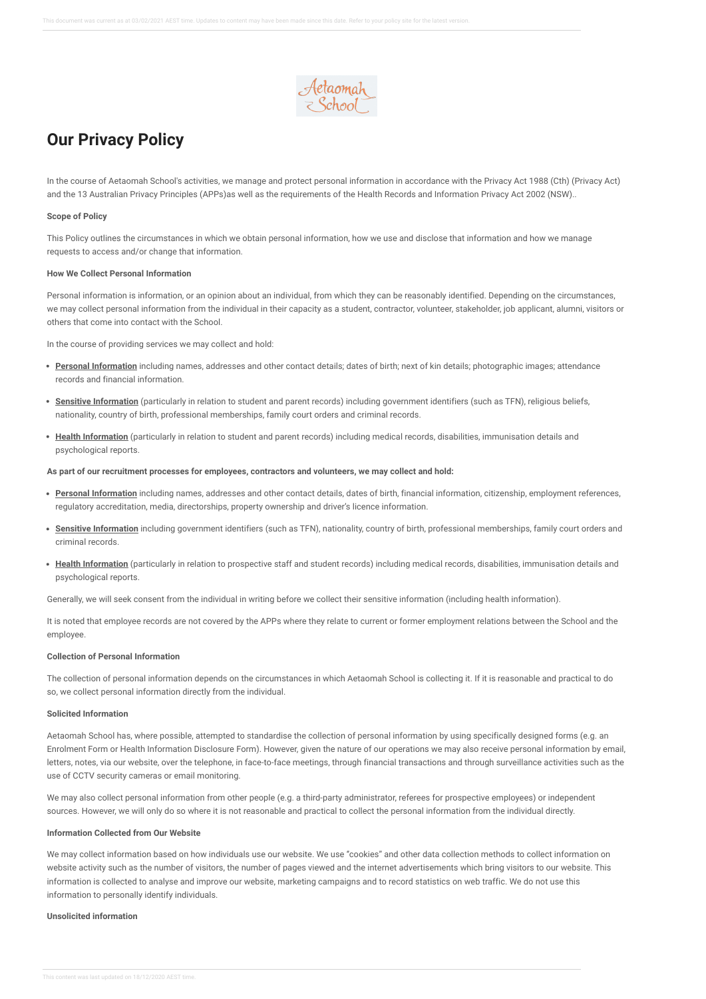

# **Our Privacy Policy**

In the course of Aetaomah School's activities, we manage and protect personal information in accordance with the Privacy Act 1988 (Cth) (Privacy Act) and the 13 Australian Privacy Principles (APPs)as well as the requirements of the Health Records and Information Privacy Act 2002 (NSW)..

#### **Scope of Policy**

This Policy outlines the circumstances in which we obtain personal information, how we use and disclose that information and how we manage requests to access and/or change that information.

## **How We Collect Personal Information**

Personal information is information, or an opinion about an individual, from which they can be reasonably identified. Depending on the circumstances, we may collect personal information from the individual in their capacity as a student, contractor, volunteer, stakeholder, job applicant, alumni, visitors or others that come into contact with the School.

In the course of providing services we may collect and hold:

- **Personal Information** including names, addresses and other contact details; dates of birth; next of kin details; photographic images; attendance records and financial information.
- **Sensitive Information** (particularly in relation to student and parent records) including government identifiers (such as TFN), religious beliefs, nationality, country of birth, professional memberships, family court orders and criminal records.
- **Health Information** (particularly in relation to student and parent records) including medical records, disabilities, immunisation details and psychological reports.

# **As part of our recruitment processes for employees, contractors and volunteers, we may collect and hold:**

- **Personal Information** including names, addresses and other contact details, dates of birth, financial information, citizenship, employment references, regulatory accreditation, media, directorships, property ownership and driver's licence information.
- **Sensitive Information** including government identifiers (such as TFN), nationality, country of birth, professional memberships, family court orders and criminal records.
- **Health Information** (particularly in relation to prospective staff and student records) including medical records, disabilities, immunisation details and psychological reports.

Generally, we will seek consent from the individual in writing before we collect their sensitive information (including health information).

It is noted that employee records are not covered by the APPs where they relate to current or former employment relations between the School and the employee.

# **Collection of Personal Information**

The collection of personal information depends on the circumstances in which Aetaomah School is collecting it. If it is reasonable and practical to do so, we collect personal information directly from the individual.

#### **Solicited Information**

Aetaomah School has, where possible, attempted to standardise the collection of personal information by using specifically designed forms (e.g. an Enrolment Form or Health Information Disclosure Form). However, given the nature of our operations we may also receive personal information by email, letters, notes, via our website, over the telephone, in face-to-face meetings, through financial transactions and through surveillance activities such as the use of CCTV security cameras or email monitoring.

We may also collect personal information from other people (e.g. a third-party administrator, referees for prospective employees) or independent sources. However, we will only do so where it is not reasonable and practical to collect the personal information from the individual directly.

## **Information Collected from Our Website**

We may collect information based on how individuals use our website. We use ''cookies'' and other data collection methods to collect information on website activity such as the number of visitors, the number of pages viewed and the internet advertisements which bring visitors to our website. This information is collected to analyse and improve our website, marketing campaigns and to record statistics on web traffic. We do not use this information to personally identify individuals.

# **Unsolicited information**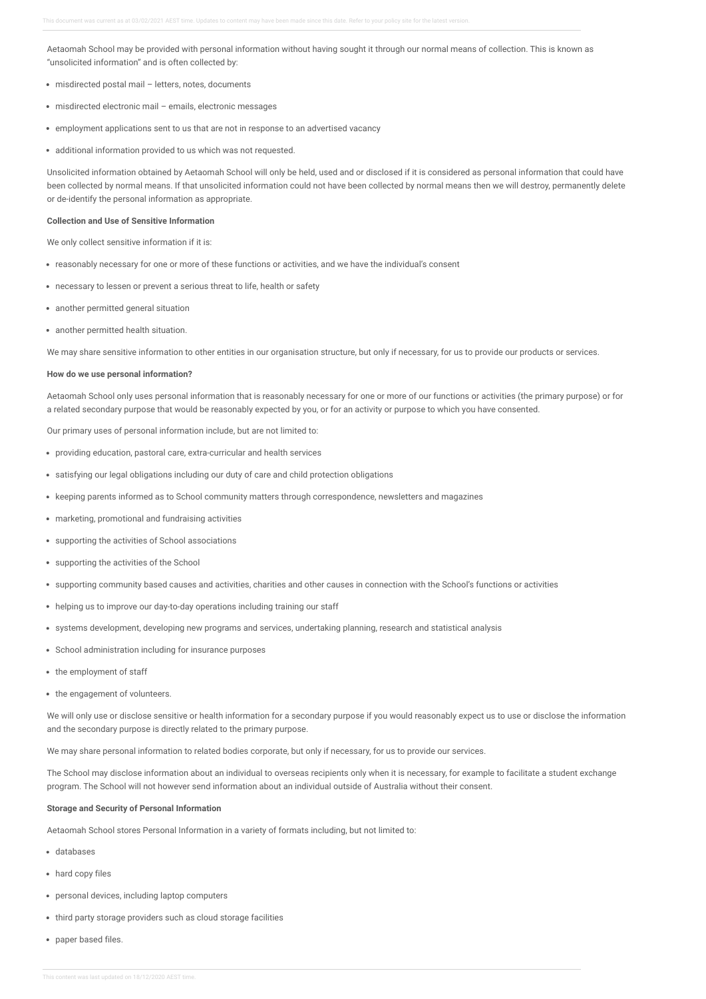Aetaomah School may be provided with personal information without having sought it through our normal means of collection. This is known as "unsolicited information" and is often collected by:

- misdirected postal mail letters, notes, documents
- misdirected electronic mail emails, electronic messages
- employment applications sent to us that are not in response to an advertised vacancy
- additional information provided to us which was not requested.

Unsolicited information obtained by Aetaomah School will only be held, used and or disclosed if it is considered as personal information that could have been collected by normal means. If that unsolicited information could not have been collected by normal means then we will destroy, permanently delete or de-identify the personal information as appropriate.

## **Collection and Use of Sensitive Information**

We only collect sensitive information if it is:

- reasonably necessary for one or more of these functions or activities, and we have the individual's consent
- necessary to lessen or prevent a serious threat to life, health or safety
- another permitted general situation
- another permitted health situation.

We may share sensitive information to other entities in our organisation structure, but only if necessary, for us to provide our products or services.

## **How do we use personal information?**

Aetaomah School only uses personal information that is reasonably necessary for one or more of our functions or activities (the primary purpose) or for a related secondary purpose that would be reasonably expected by you, or for an activity or purpose to which you have consented.

Our primary uses of personal information include, but are not limited to:

- providing education, pastoral care, extra-curricular and health services
- satisfying our legal obligations including our duty of care and child protection obligations
- keeping parents informed as to School community matters through correspondence, newsletters and magazines
- marketing, promotional and fundraising activities
- supporting the activities of School associations
- supporting the activities of the School
- supporting community based causes and activities, charities and other causes in connection with the School's functions or activities
- helping us to improve our day-to-day operations including training our staff
- systems development, developing new programs and services, undertaking planning, research and statistical analysis
- School administration including for insurance purposes
- the employment of staff
- the engagement of volunteers.

We will only use or disclose sensitive or health information for a secondary purpose if you would reasonably expect us to use or disclose the information and the secondary purpose is directly related to the primary purpose.

We may share personal information to related bodies corporate, but only if necessary, for us to provide our services.

The School may disclose information about an individual to overseas recipients only when it is necessary, for example to facilitate a student exchange program. The School will not however send information about an individual outside of Australia without their consent.

#### **Storage and Security of Personal Information**

Aetaomah School stores Personal Information in a variety of formats including, but not limited to:

- databases
- hard copy files
- personal devices, including laptop computers
- third party storage providers such as cloud storage facilities
- paper based files.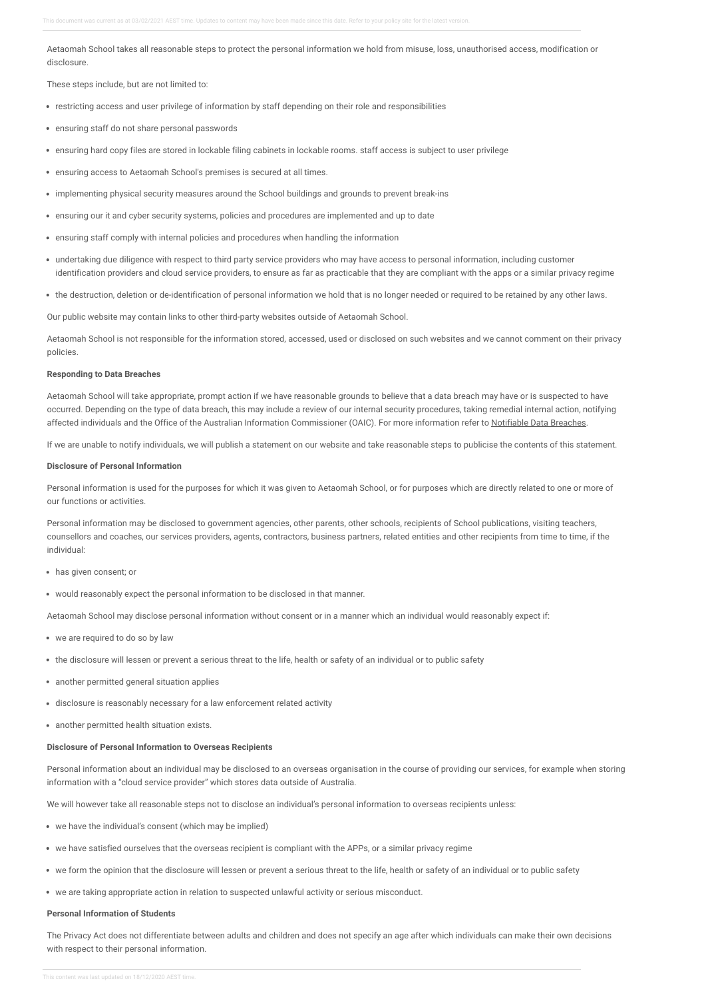Aetaomah School takes all reasonable steps to protect the personal information we hold from misuse, loss, unauthorised access, modification or disclosure.

These steps include, but are not limited to:

- restricting access and user privilege of information by staff depending on their role and responsibilities
- ensuring staff do not share personal passwords
- ensuring hard copy files are stored in lockable filing cabinets in lockable rooms. staff access is subject to user privilege
- ensuring access to Aetaomah School's premises is secured at all times.
- implementing physical security measures around the School buildings and grounds to prevent break-ins
- ensuring our it and cyber security systems, policies and procedures are implemented and up to date
- ensuring staff comply with internal policies and procedures when handling the information
- undertaking due diligence with respect to third party service providers who may have access to personal information, including customer identification providers and cloud service providers, to ensure as far as practicable that they are compliant with the apps or a similar privacy regime
- the destruction, deletion or de-identification of personal information we hold that is no longer needed or required to be retained by any other laws.

Our public website may contain links to other third-party websites outside of Aetaomah School.

Aetaomah School is not responsible for the information stored, accessed, used or disclosed on such websites and we cannot comment on their privacy policies.

#### **Responding to Data Breaches**

Aetaomah School will take appropriate, prompt action if we have reasonable grounds to believe that a data breach may have or is suspected to have occurred. Depending on the type of data breach, this may include a review of our internal security procedures, taking remedial internal action, notifying affected individuals and the Office of the Australian Information Commissioner (OAIC). For more information refer to [Notifiable](https://aetaomah.policyconnect.com.au/module/48/page/c952656f-e9e6-40f2-87a6-581f0a4696de.md) Data Breaches.

If we are unable to notify individuals, we will publish a statement on our website and take reasonable steps to publicise the contents of this statement.

## **Disclosure of Personal Information**

Personal information is used for the purposes for which it was given to Aetaomah School, or for purposes which are directly related to one or more of our functions or activities.

Personal information may be disclosed to government agencies, other parents, other schools, recipients of School publications, visiting teachers, counsellors and coaches, our services providers, agents, contractors, business partners, related entities and other recipients from time to time, if the individual:

- has given consent; or
- would reasonably expect the personal information to be disclosed in that manner.

Aetaomah School may disclose personal information without consent or in a manner which an individual would reasonably expect if:

- we are required to do so by law
- the disclosure will lessen or prevent a serious threat to the life, health or safety of an individual or to public safety
- another permitted general situation applies
- disclosure is reasonably necessary for a law enforcement related activity
- another permitted health situation exists.

#### **Disclosure of Personal Information to Overseas Recipients**

Personal information about an individual may be disclosed to an overseas organisation in the course of providing our services, for example when storing information with a "cloud service provider" which stores data outside of Australia.

We will however take all reasonable steps not to disclose an individual's personal information to overseas recipients unless:

- we have the individual's consent (which may be implied)
- we have satisfied ourselves that the overseas recipient is compliant with the APPs, or a similar privacy regime
- we form the opinion that the disclosure will lessen or prevent a serious threat to the life, health or safety of an individual or to public safety
- we are taking appropriate action in relation to suspected unlawful activity or serious misconduct.

## **Personal Information of Students**

The Privacy Act does not differentiate between adults and children and does not specify an age after which individuals can make their own decisions with respect to their personal information.